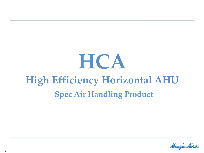# **HCA High Efficiency Horizontal AHU Spec Air Handling Product**

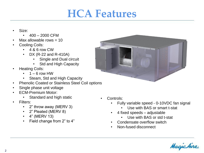#### **HCA Features**

- Size:
	- $\cdot$  400 2000 CFM
- Max allowable rows  $= 10$
- Cooling Coils:
	- 4 & 6 row CW
	- DX (R-22 and R-410A)
		- **Single and Dual circuit**
		- Std and High Capacity
- Heating Coils:
	- $\cdot$  1 6 row HW
	- Steam, Std and High Capacity
- Phenolic Coated or Stainless Steel Coil options
- Single phase unit voltage
- ECM-Premium Motor:
	- Standard and high static
- Filters:
	- 2" throw away (MERV 3)
	- 2" Pleated (MERV 8)
	- 4" (MERV 13)
	- Field change from 2" to 4"



- Controls:
	- Fully variable speed 0-10VDC fan signal
		- Use with BAS or smart t-stat
		- 4 fixed speeds adjustable
			- Use with BAS or std t-stat
	- Condensate overflow switch
	- Non-fused disconnect

Magichin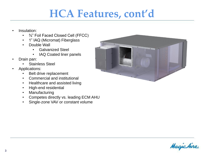#### **HCA Features, cont'd**

- Insulation:
	- $\frac{3}{4}$ " Foil Faced Closed Cell (FFCC)
	- 1" IAQ (Micromat) Fiberglass
	- Double Wall
		- Galvanized Steel
		- IAQ Coated liner panels
- Drain pan:
	- Stainless Steel
- Applications:
	- Belt drive replacement
	- Commercial and institutional
	- Healthcare and assisted living
	- High-end residential
	- Manufacturing
	- Competes directly vs. leading ECM AHU
	- Single-zone VAV or constant volume



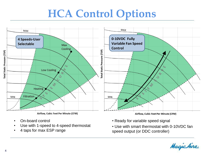### **HCA Control Options**



- On-board control
- Use with 1-speed to 4-speed thermostat
- 4 taps for max ESP range
- Ready for variable speed signal
- Use with smart thermostat with 0-10VDC fan speed output (or DDC controller)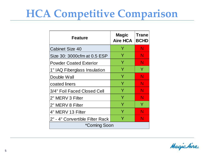## **HCA Competitive Comparison**

| <b>Feature</b>                  | <b>Magic</b><br><b>Aire HCA</b> | <b>Trane</b><br><b>BCHD</b> |
|---------------------------------|---------------------------------|-----------------------------|
| <b>Cabinet Size 40</b>          | Y                               | N                           |
| Size 30: 3000cfm at 0.5 ESP     | Y                               | N                           |
| <b>Powder Coated Exterior</b>   | Y                               | N                           |
| 1" IAQ Fiberglass Insulation    | Y                               | Y                           |
| Double Wall                     | Y                               | N                           |
| coated liners                   | Y                               | N                           |
| 3/4" Foil Faced Closed Cell     | Y                               | N                           |
| 2" MERV 3 Filter                | Y                               | N                           |
| 2" MERV 8 Filter                | Y                               | Y                           |
| 4" MERV 13 Filter               | Y                               | N                           |
| 2" - 4" Convertible Filter Rack | Y                               | N                           |
| *Coming Soon                    |                                 |                             |